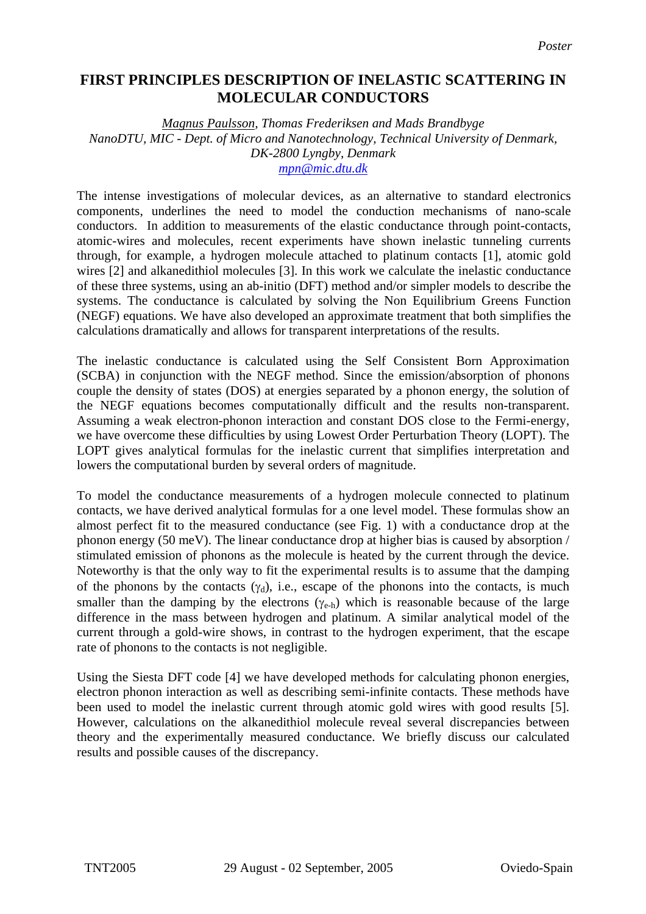## **FIRST PRINCIPLES DESCRIPTION OF INELASTIC SCATTERING IN MOLECULAR CONDUCTORS**

*Magnus Paulsson, Thomas Frederiksen and Mads Brandbyge NanoDTU, MIC - Dept. of Micro and Nanotechnology, Technical University of Denmark, DK-2800 Lyngby, Denmark [mpn@mic.dtu.dk](mailto:mpn@mic.dtu.dk)*

The intense investigations of molecular devices, as an alternative to standard electronics components, underlines the need to model the conduction mechanisms of nano-scale conductors. In addition to measurements of the elastic conductance through point-contacts, atomic-wires and molecules, recent experiments have shown inelastic tunneling currents through, for example, a hydrogen molecule attached to platinum contacts [1], atomic gold wires [2] and alkanedithiol molecules [3]. In this work we calculate the inelastic conductance of these three systems, using an ab-initio (DFT) method and/or simpler models to describe the systems. The conductance is calculated by solving the Non Equilibrium Greens Function (NEGF) equations. We have also developed an approximate treatment that both simplifies the calculations dramatically and allows for transparent interpretations of the results.

The inelastic conductance is calculated using the Self Consistent Born Approximation (SCBA) in conjunction with the NEGF method. Since the emission/absorption of phonons couple the density of states (DOS) at energies separated by a phonon energy, the solution of the NEGF equations becomes computationally difficult and the results non-transparent. Assuming a weak electron-phonon interaction and constant DOS close to the Fermi-energy, we have overcome these difficulties by using Lowest Order Perturbation Theory (LOPT). The LOPT gives analytical formulas for the inelastic current that simplifies interpretation and lowers the computational burden by several orders of magnitude.

To model the conductance measurements of a hydrogen molecule connected to platinum contacts, we have derived analytical formulas for a one level model. These formulas show an almost perfect fit to the measured conductance (see Fig. 1) with a conductance drop at the phonon energy (50 meV). The linear conductance drop at higher bias is caused by absorption / stimulated emission of phonons as the molecule is heated by the current through the device. Noteworthy is that the only way to fit the experimental results is to assume that the damping of the phonons by the contacts  $(\gamma_d)$ , i.e., escape of the phonons into the contacts, is much smaller than the damping by the electrons  $(\gamma_{e-h})$  which is reasonable because of the large difference in the mass between hydrogen and platinum. A similar analytical model of the current through a gold-wire shows, in contrast to the hydrogen experiment, that the escape rate of phonons to the contacts is not negligible.

Using the Siesta DFT code [4] we have developed methods for calculating phonon energies, electron phonon interaction as well as describing semi-infinite contacts. These methods have been used to model the inelastic current through atomic gold wires with good results [5]. However, calculations on the alkanedithiol molecule reveal several discrepancies between theory and the experimentally measured conductance. We briefly discuss our calculated results and possible causes of the discrepancy.